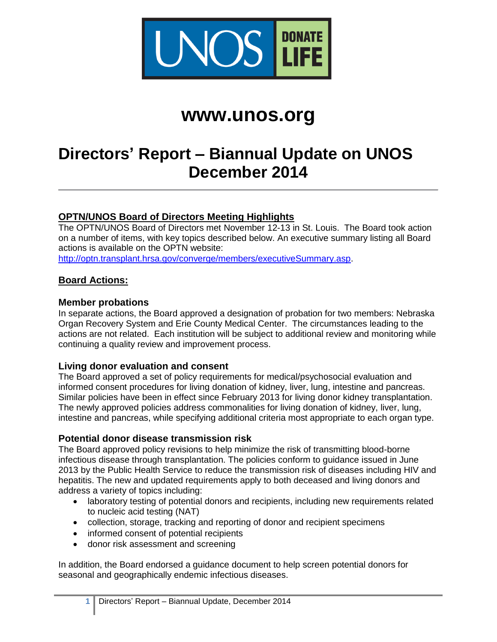

# **www.unos.org**

# **Directors' Report – Biannual Update on UNOS December 2014**

# **OPTN/UNOS Board of Directors Meeting Highlights**

The OPTN/UNOS Board of Directors met November 12-13 in St. Louis. The Board took action on a number of items, with key topics described below. An executive summary listing all Board actions is available on the OPTN website:

[http://optn.transplant.hrsa.gov/converge/members/executiveSummary.asp.](http://optn.transplant.hrsa.gov/converge/members/executiveSummary.asp)

#### **Board Actions:**

#### **Member probations**

In separate actions, the Board approved a designation of probation for two members: Nebraska Organ Recovery System and Erie County Medical Center. The circumstances leading to the actions are not related. Each institution will be subject to additional review and monitoring while continuing a quality review and improvement process.

#### **Living donor evaluation and consent**

The Board approved a set of policy requirements for medical/psychosocial evaluation and informed consent procedures for living donation of kidney, liver, lung, intestine and pancreas. Similar policies have been in effect since February 2013 for living donor kidney transplantation. The newly approved policies address commonalities for living donation of kidney, liver, lung, intestine and pancreas, while specifying additional criteria most appropriate to each organ type.

#### **Potential donor disease transmission risk**

The Board approved policy revisions to help minimize the risk of transmitting blood-borne infectious disease through transplantation. The policies conform to guidance issued in June 2013 by the Public Health Service to reduce the transmission risk of diseases including HIV and hepatitis. The new and updated requirements apply to both deceased and living donors and address a variety of topics including:

- laboratory testing of potential donors and recipients, including new requirements related to nucleic acid testing (NAT)
- collection, storage, tracking and reporting of donor and recipient specimens
- informed consent of potential recipients
- donor risk assessment and screening

In addition, the Board endorsed a guidance document to help screen potential donors for seasonal and geographically endemic infectious diseases.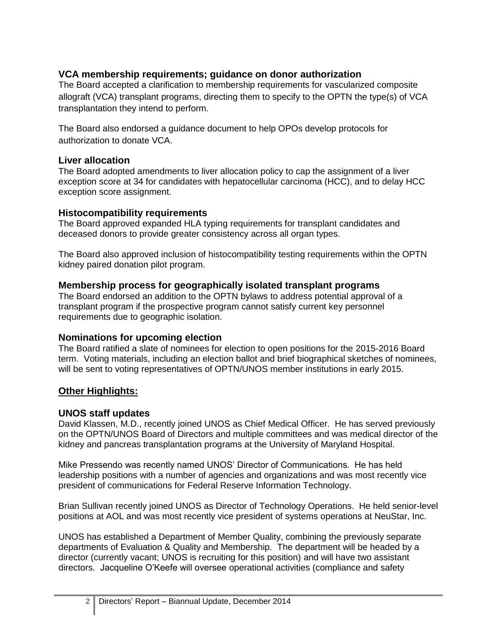# **VCA membership requirements; guidance on donor authorization**

The Board accepted a clarification to membership requirements for vascularized composite allograft (VCA) transplant programs, directing them to specify to the OPTN the type(s) of VCA transplantation they intend to perform.

The Board also endorsed a guidance document to help OPOs develop protocols for authorization to donate VCA.

#### **Liver allocation**

The Board adopted amendments to liver allocation policy to cap the assignment of a liver exception score at 34 for candidates with hepatocellular carcinoma (HCC), and to delay HCC exception score assignment.

#### **Histocompatibility requirements**

The Board approved expanded HLA typing requirements for transplant candidates and deceased donors to provide greater consistency across all organ types.

The Board also approved inclusion of histocompatibility testing requirements within the OPTN kidney paired donation pilot program.

#### **Membership process for geographically isolated transplant programs**

The Board endorsed an addition to the OPTN bylaws to address potential approval of a transplant program if the prospective program cannot satisfy current key personnel requirements due to geographic isolation.

#### **Nominations for upcoming election**

The Board ratified a slate of nominees for election to open positions for the 2015-2016 Board term. Voting materials, including an election ballot and brief biographical sketches of nominees, will be sent to voting representatives of OPTN/UNOS member institutions in early 2015.

# **Other Highlights:**

#### **UNOS staff updates**

David Klassen, M.D., recently joined UNOS as Chief Medical Officer. He has served previously on the OPTN/UNOS Board of Directors and multiple committees and was medical director of the kidney and pancreas transplantation programs at the University of Maryland Hospital.

Mike Pressendo was recently named UNOS' Director of Communications. He has held leadership positions with a number of agencies and organizations and was most recently vice president of communications for Federal Reserve Information Technology.

Brian Sullivan recently joined UNOS as Director of Technology Operations. He held senior-level positions at AOL and was most recently vice president of systems operations at NeuStar, Inc.

UNOS has established a Department of Member Quality, combining the previously separate departments of Evaluation & Quality and Membership. The department will be headed by a director (currently vacant; UNOS is recruiting for this position) and will have two assistant directors. Jacqueline O'Keefe will oversee operational activities (compliance and safety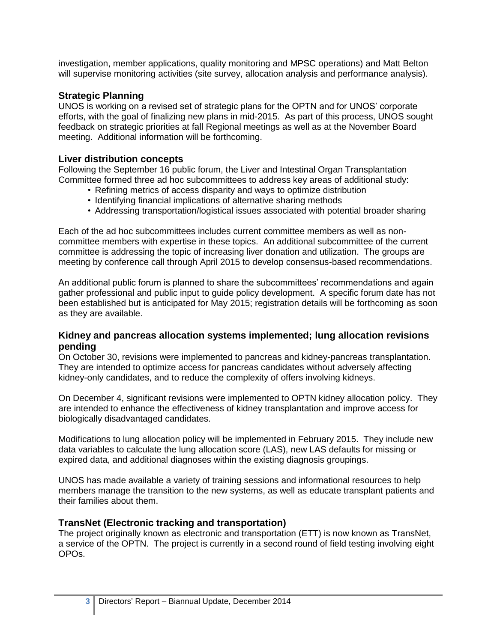investigation, member applications, quality monitoring and MPSC operations) and Matt Belton will supervise monitoring activities (site survey, allocation analysis and performance analysis).

#### **Strategic Planning**

UNOS is working on a revised set of strategic plans for the OPTN and for UNOS' corporate efforts, with the goal of finalizing new plans in mid-2015. As part of this process, UNOS sought feedback on strategic priorities at fall Regional meetings as well as at the November Board meeting. Additional information will be forthcoming.

#### **Liver distribution concepts**

Following the September 16 public forum, the Liver and Intestinal Organ Transplantation Committee formed three ad hoc subcommittees to address key areas of additional study:

- Refining metrics of access disparity and ways to optimize distribution
- Identifying financial implications of alternative sharing methods
- Addressing transportation/logistical issues associated with potential broader sharing

Each of the ad hoc subcommittees includes current committee members as well as noncommittee members with expertise in these topics. An additional subcommittee of the current committee is addressing the topic of increasing liver donation and utilization. The groups are meeting by conference call through April 2015 to develop consensus-based recommendations.

An additional public forum is planned to share the subcommittees' recommendations and again gather professional and public input to guide policy development. A specific forum date has not been established but is anticipated for May 2015; registration details will be forthcoming as soon as they are available.

#### **Kidney and pancreas allocation systems implemented; lung allocation revisions pending**

On October 30, revisions were implemented to pancreas and kidney-pancreas transplantation. They are intended to optimize access for pancreas candidates without adversely affecting kidney-only candidates, and to reduce the complexity of offers involving kidneys.

On December 4, significant revisions were implemented to OPTN kidney allocation policy. They are intended to enhance the effectiveness of kidney transplantation and improve access for biologically disadvantaged candidates.

Modifications to lung allocation policy will be implemented in February 2015. They include new data variables to calculate the lung allocation score (LAS), new LAS defaults for missing or expired data, and additional diagnoses within the existing diagnosis groupings.

UNOS has made available a variety of training sessions and informational resources to help members manage the transition to the new systems, as well as educate transplant patients and their families about them.

#### **TransNet (Electronic tracking and transportation)**

The project originally known as electronic and transportation (ETT) is now known as TransNet, a service of the OPTN. The project is currently in a second round of field testing involving eight OPOs.